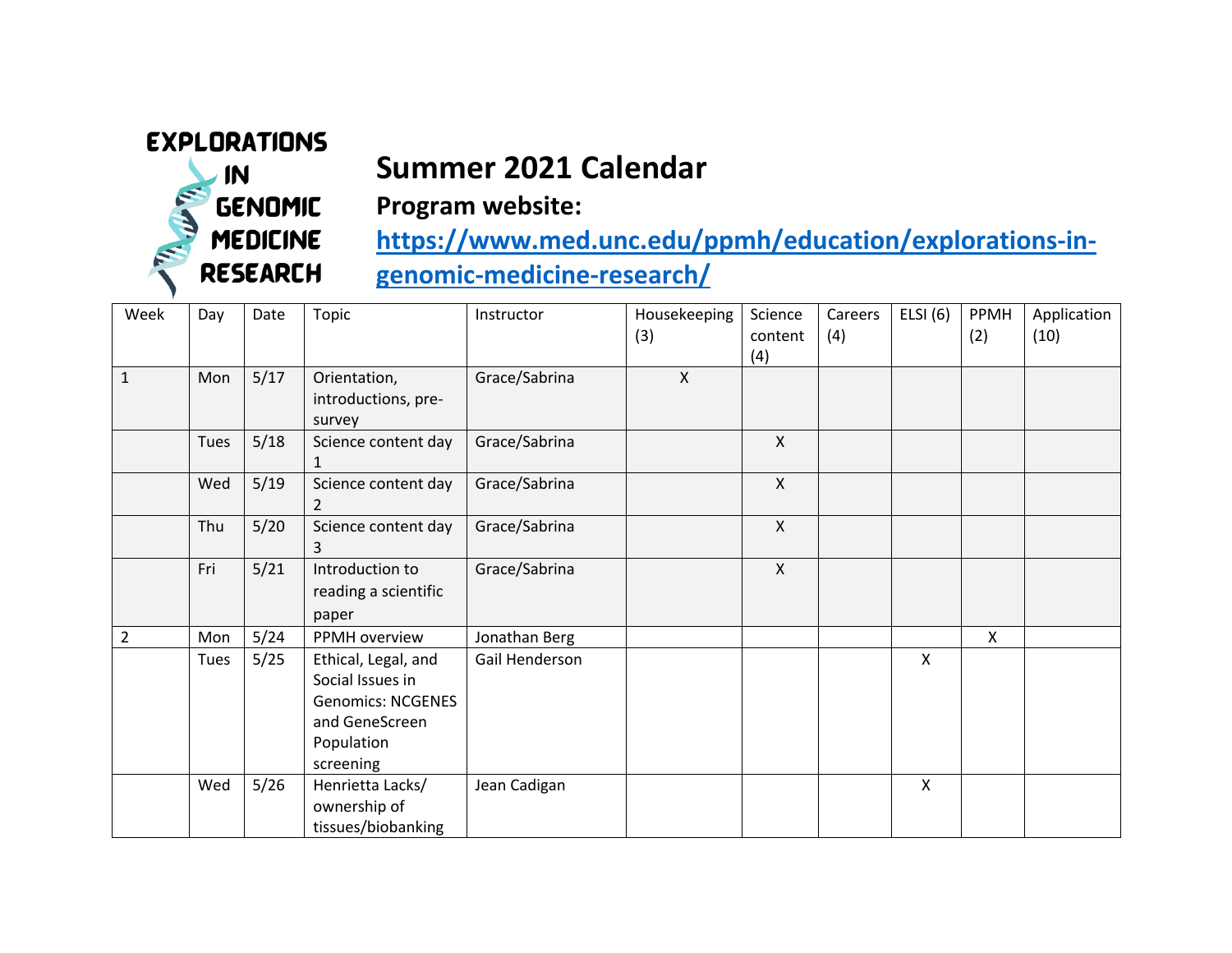## **EXPLORATIONS**

 $\sqrt{N}$ 

**GENOMIC** 

**MEDICINE** 

**RESEARCH** 

## **Summer 2021 Calendar**



**https://www.med.unc.edu/ppmh/education/explorations-ingenomic-medicine-research/**

| Week           | Day  | Date   | <b>Topic</b>                                                                                                     | Instructor     | Housekeeping<br>(3)       | Science<br>content<br>(4) | Careers<br>(4) | ELSI $(6)$   | PPMH<br>(2) | Application<br>(10) |
|----------------|------|--------|------------------------------------------------------------------------------------------------------------------|----------------|---------------------------|---------------------------|----------------|--------------|-------------|---------------------|
| $\mathbf{1}$   | Mon  | 5/17   | Orientation,<br>introductions, pre-<br>survey                                                                    | Grace/Sabrina  | $\boldsymbol{\mathsf{X}}$ |                           |                |              |             |                     |
|                | Tues | 5/18   | Science content day<br>1                                                                                         | Grace/Sabrina  |                           | $\mathsf{X}$              |                |              |             |                     |
|                | Wed  | 5/19   | Science content day<br>2                                                                                         | Grace/Sabrina  |                           | $\mathsf{X}$              |                |              |             |                     |
|                | Thu  | $5/20$ | Science content day<br>3                                                                                         | Grace/Sabrina  |                           | $\pmb{\times}$            |                |              |             |                     |
|                | Fri  | 5/21   | Introduction to<br>reading a scientific<br>paper                                                                 | Grace/Sabrina  |                           | $\mathsf{X}$              |                |              |             |                     |
| $\overline{2}$ | Mon  | 5/24   | PPMH overview                                                                                                    | Jonathan Berg  |                           |                           |                |              | X           |                     |
|                | Tues | 5/25   | Ethical, Legal, and<br>Social Issues in<br><b>Genomics: NCGENES</b><br>and GeneScreen<br>Population<br>screening | Gail Henderson |                           |                           |                | $\mathsf{X}$ |             |                     |
|                | Wed  | 5/26   | Henrietta Lacks/<br>ownership of<br>tissues/biobanking                                                           | Jean Cadigan   |                           |                           |                | X            |             |                     |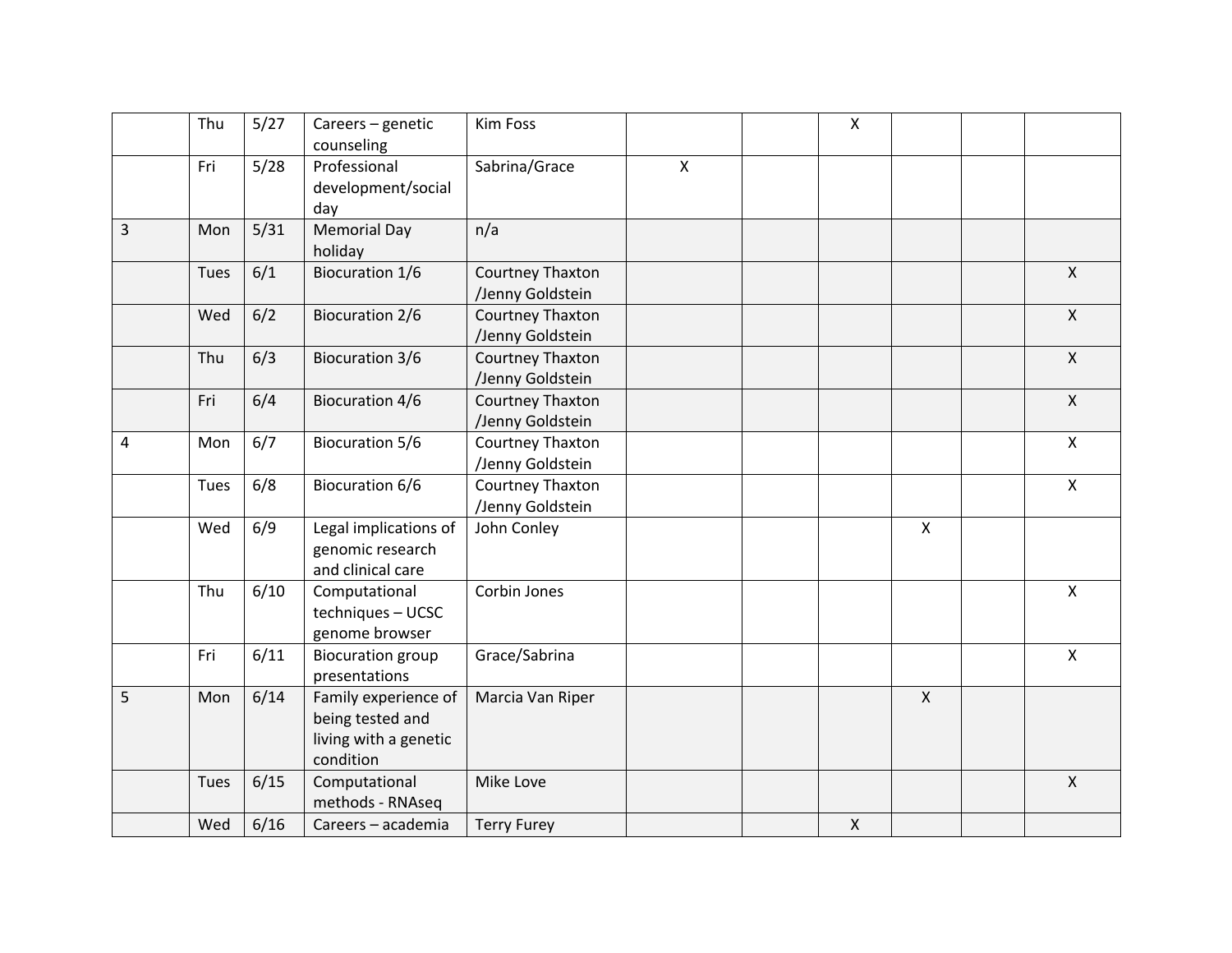|   | Thu  | 5/27 | Careers - genetic<br>counseling                                                | Kim Foss                             |              | $\pmb{\times}$ |                    |                           |
|---|------|------|--------------------------------------------------------------------------------|--------------------------------------|--------------|----------------|--------------------|---------------------------|
|   | Fri  | 5/28 | Professional<br>development/social<br>day                                      | Sabrina/Grace                        | $\mathsf{X}$ |                |                    |                           |
| 3 | Mon  | 5/31 | <b>Memorial Day</b><br>holiday                                                 | n/a                                  |              |                |                    |                           |
|   | Tues | 6/1  | <b>Biocuration 1/6</b>                                                         | Courtney Thaxton<br>/Jenny Goldstein |              |                |                    | $\boldsymbol{\mathsf{X}}$ |
|   | Wed  | 6/2  | <b>Biocuration 2/6</b>                                                         | Courtney Thaxton<br>/Jenny Goldstein |              |                |                    | $\mathsf{X}$              |
|   | Thu  | 6/3  | <b>Biocuration 3/6</b>                                                         | Courtney Thaxton<br>/Jenny Goldstein |              |                |                    | $\mathsf{X}$              |
|   | Fri  | 6/4  | <b>Biocuration 4/6</b>                                                         | Courtney Thaxton<br>/Jenny Goldstein |              |                |                    | $\pmb{\mathsf{X}}$        |
| 4 | Mon  | 6/7  | <b>Biocuration 5/6</b>                                                         | Courtney Thaxton<br>/Jenny Goldstein |              |                |                    | $\mathsf{X}$              |
|   | Tues | 6/8  | <b>Biocuration 6/6</b>                                                         | Courtney Thaxton<br>/Jenny Goldstein |              |                |                    | $\pmb{\mathsf{X}}$        |
|   | Wed  | 6/9  | Legal implications of<br>genomic research<br>and clinical care                 | John Conley                          |              |                | $\pmb{\mathsf{X}}$ |                           |
|   | Thu  | 6/10 | Computational<br>techniques - UCSC<br>genome browser                           | Corbin Jones                         |              |                |                    | $\pmb{\times}$            |
|   | Fri  | 6/11 | <b>Biocuration group</b><br>presentations                                      | Grace/Sabrina                        |              |                |                    | $\pmb{\mathsf{X}}$        |
| 5 | Mon  | 6/14 | Family experience of<br>being tested and<br>living with a genetic<br>condition | Marcia Van Riper                     |              |                | $\mathsf{X}$       |                           |
|   | Tues | 6/15 | Computational<br>methods - RNAseq                                              | Mike Love                            |              |                |                    | $\mathsf{X}$              |
|   | Wed  | 6/16 | Careers - academia                                                             | <b>Terry Furey</b>                   |              | $\pmb{\times}$ |                    |                           |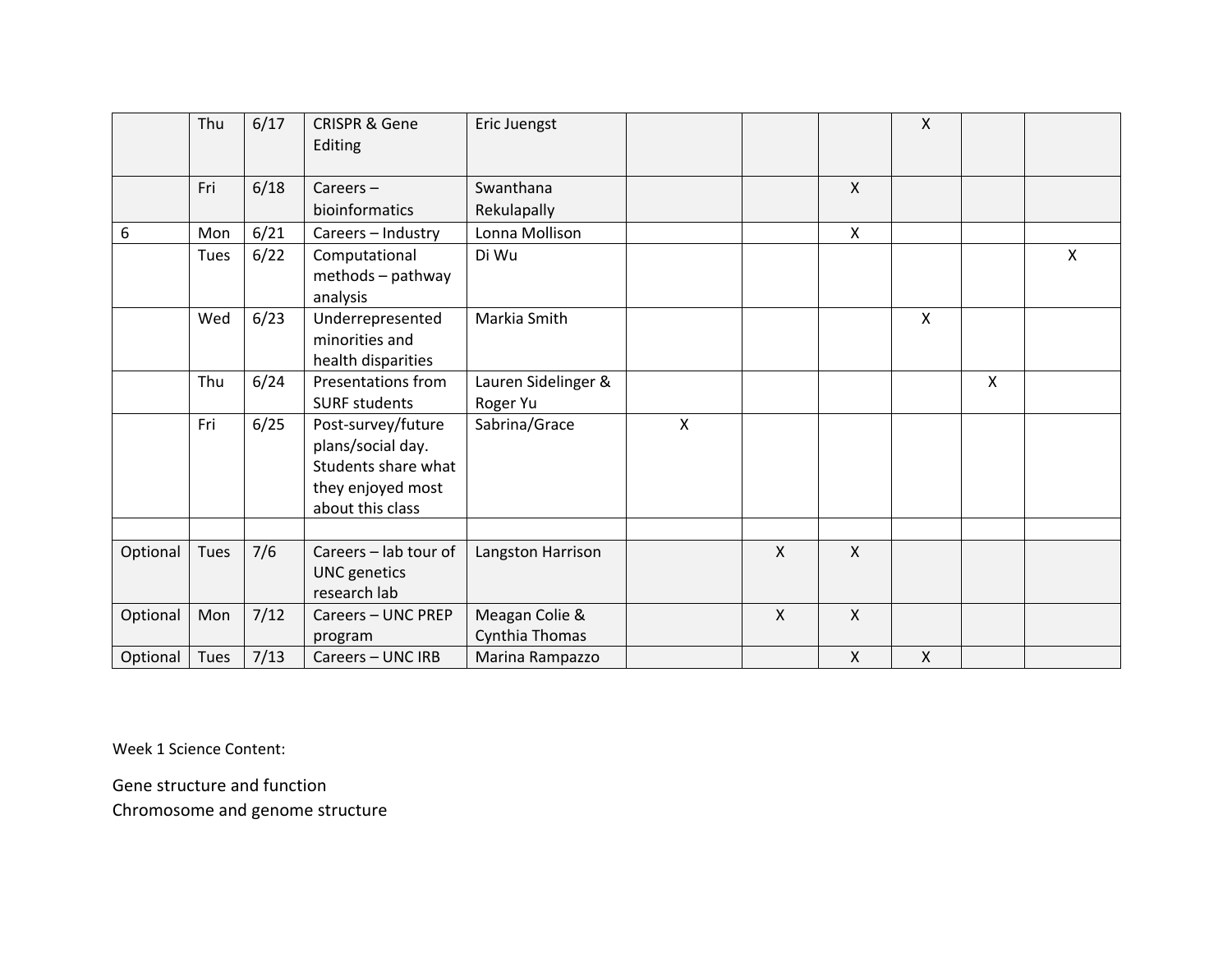|          | Thu  | 6/17 | <b>CRISPR &amp; Gene</b><br>Editing                                                                     | Eric Juengst                     |              |              |              | $\pmb{\times}$ |   |   |
|----------|------|------|---------------------------------------------------------------------------------------------------------|----------------------------------|--------------|--------------|--------------|----------------|---|---|
|          | Fri  | 6/18 | Careers $-$                                                                                             | Swanthana                        |              |              | $\mathsf{X}$ |                |   |   |
|          |      |      | bioinformatics                                                                                          | Rekulapally                      |              |              |              |                |   |   |
| 6        | Mon  | 6/21 | Careers - Industry                                                                                      | Lonna Mollison                   |              |              | X            |                |   |   |
|          | Tues | 6/22 | Computational<br>methods - pathway<br>analysis                                                          | Di Wu                            |              |              |              |                |   | X |
|          | Wed  | 6/23 | Underrepresented<br>minorities and<br>health disparities                                                | Markia Smith                     |              |              |              | X              |   |   |
|          | Thu  | 6/24 | <b>Presentations from</b><br><b>SURF students</b>                                                       | Lauren Sidelinger &<br>Roger Yu  |              |              |              |                | X |   |
|          | Fri  | 6/25 | Post-survey/future<br>plans/social day.<br>Students share what<br>they enjoyed most<br>about this class | Sabrina/Grace                    | $\mathsf{X}$ |              |              |                |   |   |
|          |      |      |                                                                                                         |                                  |              |              |              |                |   |   |
| Optional | Tues | 7/6  | Careers - lab tour of<br><b>UNC</b> genetics<br>research lab                                            | Langston Harrison                |              | $\mathsf{X}$ | $\mathsf{X}$ |                |   |   |
| Optional | Mon  | 7/12 | Careers - UNC PREP                                                                                      | Meagan Colie &<br>Cynthia Thomas |              | $\mathsf{X}$ | X            |                |   |   |
| Optional | Tues | 7/13 | program<br>Careers - UNC IRB                                                                            | Marina Rampazzo                  |              |              | X            | X              |   |   |
|          |      |      |                                                                                                         |                                  |              |              |              |                |   |   |

Week 1 Science Content :

Gene structure and function

Chromosome and genome structure